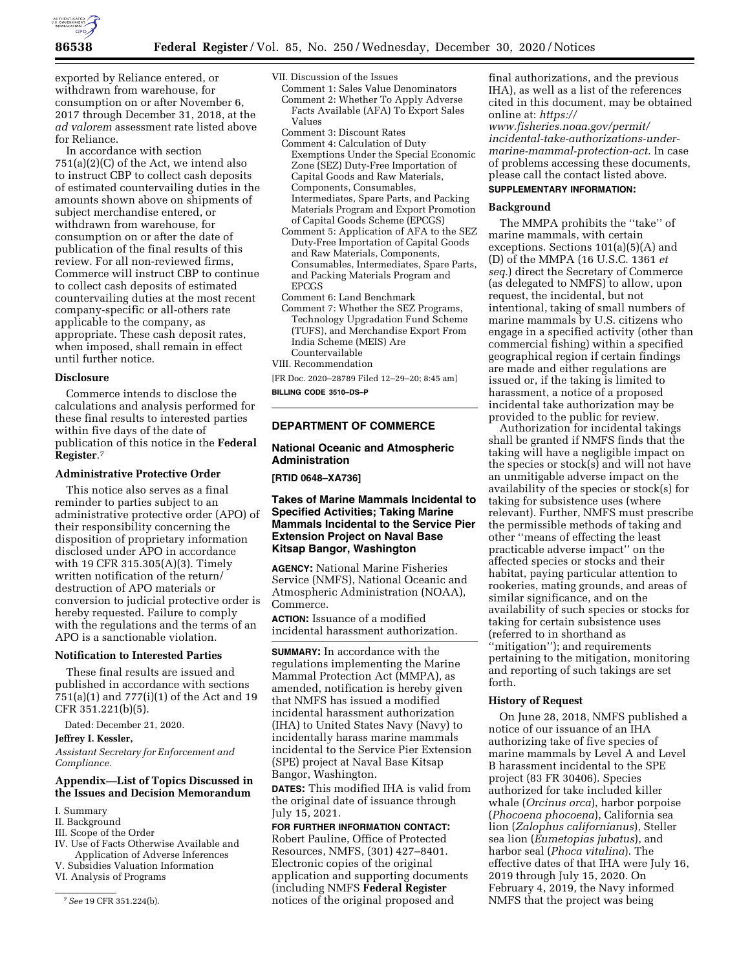

exported by Reliance entered, or withdrawn from warehouse, for consumption on or after November 6, 2017 through December 31, 2018, at the *ad valorem* assessment rate listed above for Reliance.

In accordance with section 751(a)(2)(C) of the Act, we intend also to instruct CBP to collect cash deposits of estimated countervailing duties in the amounts shown above on shipments of subject merchandise entered, or withdrawn from warehouse, for consumption on or after the date of publication of the final results of this review. For all non-reviewed firms, Commerce will instruct CBP to continue to collect cash deposits of estimated countervailing duties at the most recent company-specific or all-others rate applicable to the company, as appropriate. These cash deposit rates, when imposed, shall remain in effect until further notice.

#### **Disclosure**

Commerce intends to disclose the calculations and analysis performed for these final results to interested parties within five days of the date of publication of this notice in the **Federal Register**.7

#### **Administrative Protective Order**

This notice also serves as a final reminder to parties subject to an administrative protective order (APO) of their responsibility concerning the disposition of proprietary information disclosed under APO in accordance with 19 CFR 315.305(A)(3). Timely written notification of the return/ destruction of APO materials or conversion to judicial protective order is hereby requested. Failure to comply with the regulations and the terms of an APO is a sanctionable violation.

#### **Notification to Interested Parties**

These final results are issued and published in accordance with sections 751(a)(1) and 777(i)(1) of the Act and 19 CFR 351.221(b)(5).

Dated: December 21, 2020.

**Jeffrey I. Kessler,** 

*Assistant Secretary for Enforcement and Compliance.* 

# **Appendix—List of Topics Discussed in the Issues and Decision Memorandum**

- I. Summary
- II. Background
- III. Scope of the Order
- IV. Use of Facts Otherwise Available and Application of Adverse Inferences
- V. Subsidies Valuation Information VI. Analysis of Programs
- 

VII. Discussion of the Issues

- Comment 1: Sales Value Denominators Comment 2: Whether To Apply Adverse Facts Available (AFA) To Export Sales Values
- Comment 3: Discount Rates
- Comment 4: Calculation of Duty Exemptions Under the Special Economic Zone (SEZ) Duty-Free Importation of Capital Goods and Raw Materials, Components, Consumables, Intermediates, Spare Parts, and Packing Materials Program and Export Promotion of Capital Goods Scheme (EPCGS)
- Comment 5: Application of AFA to the SEZ Duty-Free Importation of Capital Goods and Raw Materials, Components, Consumables, Intermediates, Spare Parts, and Packing Materials Program and EPCGS
- Comment 6: Land Benchmark Comment 7: Whether the SEZ Programs, Technology Upgradation Fund Scheme (TUFS), and Merchandise Export From India Scheme (MEIS) Are Countervailable
- VIII. Recommendation

[FR Doc. 2020–28789 Filed 12–29–20; 8:45 am]

**BILLING CODE 3510–DS–P** 

# **DEPARTMENT OF COMMERCE**

# **National Oceanic and Atmospheric Administration**

**[RTID 0648–XA736]** 

## **Takes of Marine Mammals Incidental to Specified Activities; Taking Marine Mammals Incidental to the Service Pier Extension Project on Naval Base Kitsap Bangor, Washington**

**AGENCY:** National Marine Fisheries Service (NMFS), National Oceanic and Atmospheric Administration (NOAA), Commerce.

**ACTION:** Issuance of a modified incidental harassment authorization.

**SUMMARY:** In accordance with the regulations implementing the Marine Mammal Protection Act (MMPA), as amended, notification is hereby given that NMFS has issued a modified incidental harassment authorization (IHA) to United States Navy (Navy) to incidentally harass marine mammals incidental to the Service Pier Extension (SPE) project at Naval Base Kitsap Bangor, Washington.

**DATES:** This modified IHA is valid from the original date of issuance through July 15, 2021.

# **FOR FURTHER INFORMATION CONTACT:**

Robert Pauline, Office of Protected Resources, NMFS, (301) 427–8401. Electronic copies of the original application and supporting documents (including NMFS **Federal Register**  notices of the original proposed and

final authorizations, and the previous IHA), as well as a list of the references cited in this document, may be obtained online at: *[https://](https://www.fisheries.noaa.gov/permit/incidental-take-authorizations-under-marine-mammal-protection-act) [www.fisheries.noaa.gov/permit/](https://www.fisheries.noaa.gov/permit/incidental-take-authorizations-under-marine-mammal-protection-act)  [incidental-take-authorizations-under](https://www.fisheries.noaa.gov/permit/incidental-take-authorizations-under-marine-mammal-protection-act)[marine-mammal-protection-act.](https://www.fisheries.noaa.gov/permit/incidental-take-authorizations-under-marine-mammal-protection-act)* In case

of problems accessing these documents, please call the contact listed above. **SUPPLEMENTARY INFORMATION:** 

#### **Background**

The MMPA prohibits the ''take'' of marine mammals, with certain exceptions. Sections 101(a)(5)(A) and (D) of the MMPA (16 U.S.C. 1361 *et seq.*) direct the Secretary of Commerce (as delegated to NMFS) to allow, upon request, the incidental, but not intentional, taking of small numbers of marine mammals by U.S. citizens who engage in a specified activity (other than commercial fishing) within a specified geographical region if certain findings are made and either regulations are issued or, if the taking is limited to harassment, a notice of a proposed incidental take authorization may be provided to the public for review.

Authorization for incidental takings shall be granted if NMFS finds that the taking will have a negligible impact on the species or stock(s) and will not have an unmitigable adverse impact on the availability of the species or stock(s) for taking for subsistence uses (where relevant). Further, NMFS must prescribe the permissible methods of taking and other ''means of effecting the least practicable adverse impact'' on the affected species or stocks and their habitat, paying particular attention to rookeries, mating grounds, and areas of similar significance, and on the availability of such species or stocks for taking for certain subsistence uses (referred to in shorthand as ''mitigation''); and requirements pertaining to the mitigation, monitoring and reporting of such takings are set forth.

## **History of Request**

On June 28, 2018, NMFS published a notice of our issuance of an IHA authorizing take of five species of marine mammals by Level A and Level B harassment incidental to the SPE project (83 FR 30406). Species authorized for take included killer whale (*Orcinus orca*), harbor porpoise (*Phocoena phocoena*), California sea lion (*Zalophus californianus*), Steller sea lion (*Eumetopias jubatus*), and harbor seal (*Phoca vitulina*). The effective dates of that IHA were July 16, 2019 through July 15, 2020. On February 4, 2019, the Navy informed NMFS that the project was being

<sup>7</sup>*See* 19 CFR 351.224(b).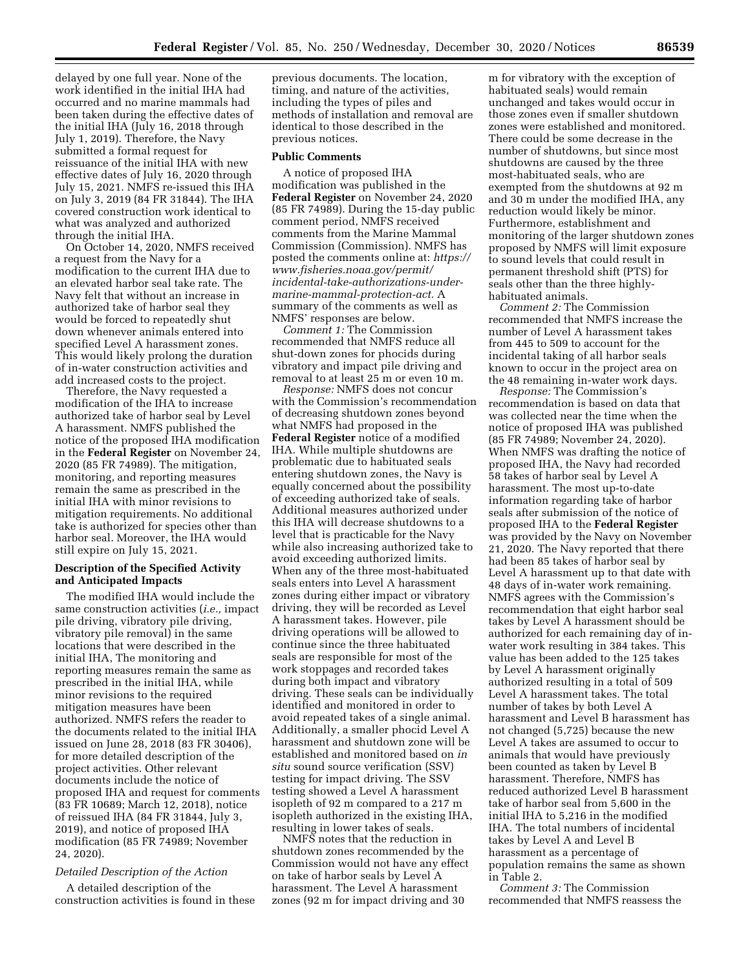delayed by one full year. None of the work identified in the initial IHA had occurred and no marine mammals had been taken during the effective dates of the initial IHA (July 16, 2018 through July 1, 2019). Therefore, the Navy submitted a formal request for reissuance of the initial IHA with new effective dates of July 16, 2020 through July 15, 2021. NMFS re-issued this IHA on July 3, 2019 (84 FR 31844). The IHA covered construction work identical to what was analyzed and authorized through the initial IHA.

On October 14, 2020, NMFS received a request from the Navy for a modification to the current IHA due to an elevated harbor seal take rate. The Navy felt that without an increase in authorized take of harbor seal they would be forced to repeatedly shut down whenever animals entered into specified Level A harassment zones. This would likely prolong the duration of in-water construction activities and add increased costs to the project.

Therefore, the Navy requested a modification of the IHA to increase authorized take of harbor seal by Level A harassment. NMFS published the notice of the proposed IHA modification in the **Federal Register** on November 24, 2020 (85 FR 74989). The mitigation, monitoring, and reporting measures remain the same as prescribed in the initial IHA with minor revisions to mitigation requirements. No additional take is authorized for species other than harbor seal. Moreover, the IHA would still expire on July 15, 2021.

## **Description of the Specified Activity and Anticipated Impacts**

The modified IHA would include the same construction activities (*i.e.,* impact pile driving, vibratory pile driving, vibratory pile removal) in the same locations that were described in the initial IHA, The monitoring and reporting measures remain the same as prescribed in the initial IHA, while minor revisions to the required mitigation measures have been authorized. NMFS refers the reader to the documents related to the initial IHA issued on June 28, 2018 (83 FR 30406), for more detailed description of the project activities. Other relevant documents include the notice of proposed IHA and request for comments (83 FR 10689; March 12, 2018), notice of reissued IHA (84 FR 31844, July 3, 2019), and notice of proposed IHA modification (85 FR 74989; November 24, 2020).

## *Detailed Description of the Action*

A detailed description of the construction activities is found in these

previous documents. The location, timing, and nature of the activities, including the types of piles and methods of installation and removal are identical to those described in the previous notices.

#### **Public Comments**

A notice of proposed IHA modification was published in the **Federal Register** on November 24, 2020 (85 FR 74989). During the 15-day public comment period, NMFS received comments from the Marine Mammal Commission (Commission). NMFS has posted the comments online at: *[https://](https://www.fisheries.noaa.gov/permit/incidental-take-authorizations-under-marine-mammal-protection-act) [www.fisheries.noaa.gov/permit/](https://www.fisheries.noaa.gov/permit/incidental-take-authorizations-under-marine-mammal-protection-act)  [incidental-take-authorizations-under](https://www.fisheries.noaa.gov/permit/incidental-take-authorizations-under-marine-mammal-protection-act)[marine-mammal-protection-act.](https://www.fisheries.noaa.gov/permit/incidental-take-authorizations-under-marine-mammal-protection-act)* A summary of the comments as well as NMFS' responses are below.

*Comment 1:* The Commission recommended that NMFS reduce all shut-down zones for phocids during vibratory and impact pile driving and removal to at least 25 m or even 10 m.

*Response:* NMFS does not concur with the Commission's recommendation of decreasing shutdown zones beyond what NMFS had proposed in the **Federal Register** notice of a modified IHA. While multiple shutdowns are problematic due to habituated seals entering shutdown zones, the Navy is equally concerned about the possibility of exceeding authorized take of seals. Additional measures authorized under this IHA will decrease shutdowns to a level that is practicable for the Navy while also increasing authorized take to avoid exceeding authorized limits. When any of the three most-habituated seals enters into Level A harassment zones during either impact or vibratory driving, they will be recorded as Level A harassment takes. However, pile driving operations will be allowed to continue since the three habituated seals are responsible for most of the work stoppages and recorded takes during both impact and vibratory driving. These seals can be individually identified and monitored in order to avoid repeated takes of a single animal. Additionally, a smaller phocid Level A harassment and shutdown zone will be established and monitored based on *in situ* sound source verification (SSV) testing for impact driving. The SSV testing showed a Level A harassment isopleth of 92 m compared to a 217 m isopleth authorized in the existing IHA, resulting in lower takes of seals.

NMFS notes that the reduction in shutdown zones recommended by the Commission would not have any effect on take of harbor seals by Level A harassment. The Level A harassment zones (92 m for impact driving and 30

m for vibratory with the exception of habituated seals) would remain unchanged and takes would occur in those zones even if smaller shutdown zones were established and monitored. There could be some decrease in the number of shutdowns, but since most shutdowns are caused by the three most-habituated seals, who are exempted from the shutdowns at 92 m and 30 m under the modified IHA, any reduction would likely be minor. Furthermore, establishment and monitoring of the larger shutdown zones proposed by NMFS will limit exposure to sound levels that could result in permanent threshold shift (PTS) for seals other than the three highlyhabituated animals.

*Comment 2:* The Commission recommended that NMFS increase the number of Level A harassment takes from 445 to 509 to account for the incidental taking of all harbor seals known to occur in the project area on the 48 remaining in-water work days.

*Response:* The Commission's recommendation is based on data that was collected near the time when the notice of proposed IHA was published (85 FR 74989; November 24, 2020). When NMFS was drafting the notice of proposed IHA, the Navy had recorded 58 takes of harbor seal by Level A harassment. The most up-to-date information regarding take of harbor seals after submission of the notice of proposed IHA to the **Federal Register**  was provided by the Navy on November 21, 2020. The Navy reported that there had been 85 takes of harbor seal by Level A harassment up to that date with 48 days of in-water work remaining. NMFS agrees with the Commission's recommendation that eight harbor seal takes by Level A harassment should be authorized for each remaining day of inwater work resulting in 384 takes. This value has been added to the 125 takes by Level A harassment originally authorized resulting in a total of 509 Level A harassment takes. The total number of takes by both Level A harassment and Level B harassment has not changed (5,725) because the new Level A takes are assumed to occur to animals that would have previously been counted as taken by Level B harassment. Therefore, NMFS has reduced authorized Level B harassment take of harbor seal from 5,600 in the initial IHA to 5,216 in the modified IHA. The total numbers of incidental takes by Level A and Level B harassment as a percentage of population remains the same as shown in Table 2.

*Comment 3:* The Commission recommended that NMFS reassess the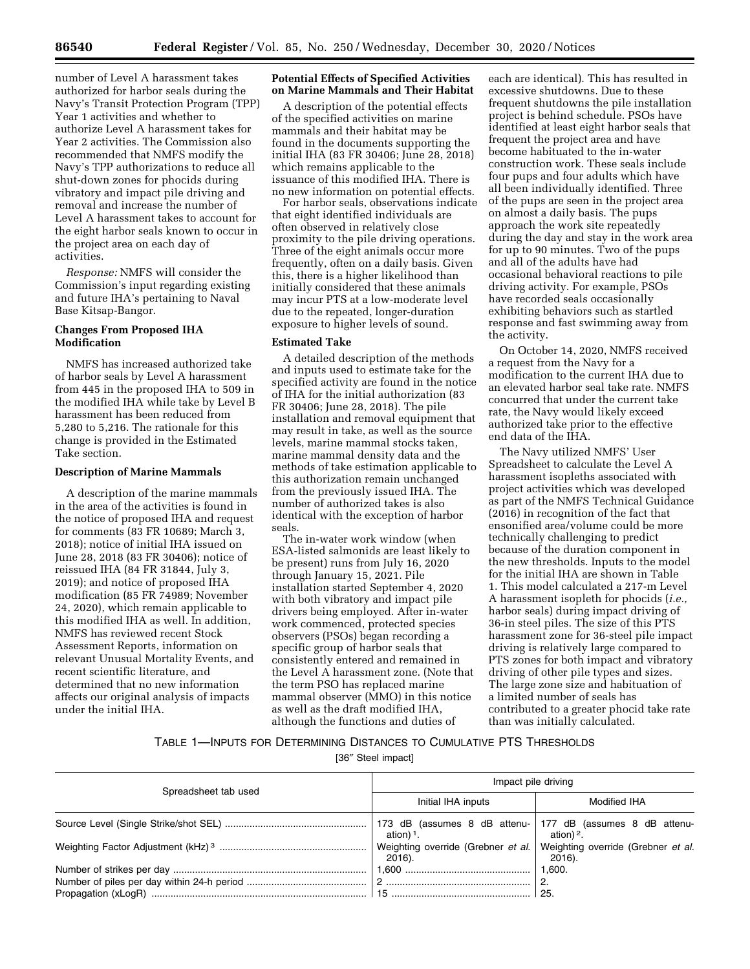number of Level A harassment takes authorized for harbor seals during the Navy's Transit Protection Program (TPP) Year 1 activities and whether to authorize Level A harassment takes for Year 2 activities. The Commission also recommended that NMFS modify the Navy's TPP authorizations to reduce all shut-down zones for phocids during vibratory and impact pile driving and removal and increase the number of Level A harassment takes to account for the eight harbor seals known to occur in the project area on each day of activities.

*Response:* NMFS will consider the Commission's input regarding existing and future IHA's pertaining to Naval Base Kitsap-Bangor.

# **Changes From Proposed IHA Modification**

NMFS has increased authorized take of harbor seals by Level A harassment from 445 in the proposed IHA to 509 in the modified IHA while take by Level B harassment has been reduced from 5,280 to 5,216. The rationale for this change is provided in the Estimated Take section.

## **Description of Marine Mammals**

A description of the marine mammals in the area of the activities is found in the notice of proposed IHA and request for comments (83 FR 10689; March 3, 2018); notice of initial IHA issued on June 28, 2018 (83 FR 30406); notice of reissued IHA (84 FR 31844, July 3, 2019); and notice of proposed IHA modification (85 FR 74989; November 24, 2020), which remain applicable to this modified IHA as well. In addition, NMFS has reviewed recent Stock Assessment Reports, information on relevant Unusual Mortality Events, and recent scientific literature, and determined that no new information affects our original analysis of impacts under the initial IHA.

## **Potential Effects of Specified Activities on Marine Mammals and Their Habitat**

A description of the potential effects of the specified activities on marine mammals and their habitat may be found in the documents supporting the initial IHA (83 FR 30406; June 28, 2018) which remains applicable to the issuance of this modified IHA. There is no new information on potential effects.

For harbor seals, observations indicate that eight identified individuals are often observed in relatively close proximity to the pile driving operations. Three of the eight animals occur more frequently, often on a daily basis. Given this, there is a higher likelihood than initially considered that these animals may incur PTS at a low-moderate level due to the repeated, longer-duration exposure to higher levels of sound.

#### **Estimated Take**

A detailed description of the methods and inputs used to estimate take for the specified activity are found in the notice of IHA for the initial authorization (83 FR 30406; June 28, 2018). The pile installation and removal equipment that may result in take, as well as the source levels, marine mammal stocks taken, marine mammal density data and the methods of take estimation applicable to this authorization remain unchanged from the previously issued IHA. The number of authorized takes is also identical with the exception of harbor seals.

The in-water work window (when ESA-listed salmonids are least likely to be present) runs from July 16, 2020 through January 15, 2021. Pile installation started September 4, 2020 with both vibratory and impact pile drivers being employed. After in-water work commenced, protected species observers (PSOs) began recording a specific group of harbor seals that consistently entered and remained in the Level A harassment zone. (Note that the term PSO has replaced marine mammal observer (MMO) in this notice as well as the draft modified IHA, although the functions and duties of

each are identical). This has resulted in excessive shutdowns. Due to these frequent shutdowns the pile installation project is behind schedule. PSOs have identified at least eight harbor seals that frequent the project area and have become habituated to the in-water construction work. These seals include four pups and four adults which have all been individually identified. Three of the pups are seen in the project area on almost a daily basis. The pups approach the work site repeatedly during the day and stay in the work area for up to 90 minutes. Two of the pups and all of the adults have had occasional behavioral reactions to pile driving activity. For example, PSOs have recorded seals occasionally exhibiting behaviors such as startled response and fast swimming away from the activity.

On October 14, 2020, NMFS received a request from the Navy for a modification to the current IHA due to an elevated harbor seal take rate. NMFS concurred that under the current take rate, the Navy would likely exceed authorized take prior to the effective end data of the IHA.

The Navy utilized NMFS' User Spreadsheet to calculate the Level A harassment isopleths associated with project activities which was developed as part of the NMFS Technical Guidance (2016) in recognition of the fact that ensonified area/volume could be more technically challenging to predict because of the duration component in the new thresholds. Inputs to the model for the initial IHA are shown in Table 1. This model calculated a 217-m Level A harassment isopleth for phocids (*i.e.,*  harbor seals) during impact driving of 36-in steel piles. The size of this PTS harassment zone for 36-steel pile impact driving is relatively large compared to PTS zones for both impact and vibratory driving of other pile types and sizes. The large zone size and habituation of a limited number of seals has contributed to a greater phocid take rate than was initially calculated.

# TABLE 1—INPUTS FOR DETERMINING DISTANCES TO CUMULATIVE PTS THRESHOLDS

[36″ Steel impact]

| Spreadsheet tab used | Impact pile driving   |                                              |  |
|----------------------|-----------------------|----------------------------------------------|--|
|                      | Initial IHA inputs    | Modified IHA                                 |  |
|                      | ation) <sup>1</sup> . | ation) $2$ .                                 |  |
|                      | 2016).                | Weighting override (Grebner et al.<br>2016). |  |
|                      |                       | 1,600.                                       |  |
|                      |                       |                                              |  |
|                      |                       | -25.                                         |  |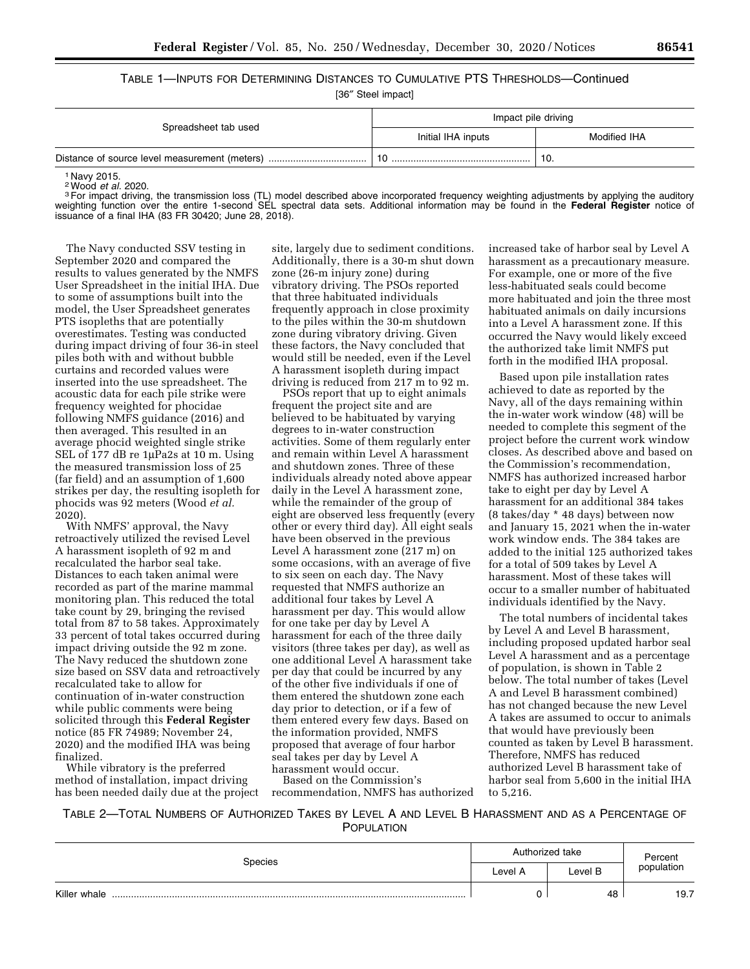TABLE 1—INPUTS FOR DETERMINING DISTANCES TO CUMULATIVE PTS THRESHOLDS—Continued

[36″ Steel impact]

| Spreadsheet tab used                          | Impact pile driving |              |  |
|-----------------------------------------------|---------------------|--------------|--|
|                                               | Initial IHA inputs  | Modified IHA |  |
| Distance of source level measurement (meters) |                     | 10.          |  |

<sup>1</sup> Navy 2015.<br><sup>2</sup> Wood *et al.* 2020.

<sup>2</sup> For impact driving, the transmission loss (TL) model described above incorporated frequency weighting adjustments by applying the auditory weighting function over the entire 1-second SEL spectral data sets. Additional information may be found in the **Federal Register** notice of issuance of a final IHA (83 FR 30420; June 28, 2018).

The Navy conducted SSV testing in September 2020 and compared the results to values generated by the NMFS User Spreadsheet in the initial IHA. Due to some of assumptions built into the model, the User Spreadsheet generates PTS isopleths that are potentially overestimates. Testing was conducted during impact driving of four 36-in steel piles both with and without bubble curtains and recorded values were inserted into the use spreadsheet. The acoustic data for each pile strike were frequency weighted for phocidae following NMFS guidance (2016) and then averaged. This resulted in an average phocid weighted single strike SEL of 177 dB re 1µPa2s at 10 m. Using the measured transmission loss of 25 (far field) and an assumption of 1,600 strikes per day, the resulting isopleth for phocids was 92 meters (Wood *et al.*  2020).

With NMFS' approval, the Navy retroactively utilized the revised Level A harassment isopleth of 92 m and recalculated the harbor seal take. Distances to each taken animal were recorded as part of the marine mammal monitoring plan. This reduced the total take count by 29, bringing the revised total from 87 to 58 takes. Approximately 33 percent of total takes occurred during impact driving outside the 92 m zone. The Navy reduced the shutdown zone size based on SSV data and retroactively recalculated take to allow for continuation of in-water construction while public comments were being solicited through this **Federal Register**  notice (85 FR 74989; November 24, 2020) and the modified IHA was being finalized.

While vibratory is the preferred method of installation, impact driving has been needed daily due at the project

site, largely due to sediment conditions. Additionally, there is a 30-m shut down zone (26-m injury zone) during vibratory driving. The PSOs reported that three habituated individuals frequently approach in close proximity to the piles within the 30-m shutdown zone during vibratory driving. Given these factors, the Navy concluded that would still be needed, even if the Level A harassment isopleth during impact driving is reduced from 217 m to 92 m.

PSOs report that up to eight animals frequent the project site and are believed to be habituated by varying degrees to in-water construction activities. Some of them regularly enter and remain within Level A harassment and shutdown zones. Three of these individuals already noted above appear daily in the Level A harassment zone, while the remainder of the group of eight are observed less frequently (every other or every third day). All eight seals have been observed in the previous Level A harassment zone (217 m) on some occasions, with an average of five to six seen on each day. The Navy requested that NMFS authorize an additional four takes by Level A harassment per day. This would allow for one take per day by Level A harassment for each of the three daily visitors (three takes per day), as well as one additional Level A harassment take per day that could be incurred by any of the other five individuals if one of them entered the shutdown zone each day prior to detection, or if a few of them entered every few days. Based on the information provided, NMFS proposed that average of four harbor seal takes per day by Level A harassment would occur.

Based on the Commission's recommendation, NMFS has authorized increased take of harbor seal by Level A harassment as a precautionary measure. For example, one or more of the five less-habituated seals could become more habituated and join the three most habituated animals on daily incursions into a Level A harassment zone. If this occurred the Navy would likely exceed the authorized take limit NMFS put forth in the modified IHA proposal.

Based upon pile installation rates achieved to date as reported by the Navy, all of the days remaining within the in-water work window (48) will be needed to complete this segment of the project before the current work window closes. As described above and based on the Commission's recommendation, NMFS has authorized increased harbor take to eight per day by Level A harassment for an additional 384 takes (8 takes/day \* 48 days) between now and January 15, 2021 when the in-water work window ends. The 384 takes are added to the initial 125 authorized takes for a total of 509 takes by Level A harassment. Most of these takes will occur to a smaller number of habituated individuals identified by the Navy.

The total numbers of incidental takes by Level A and Level B harassment, including proposed updated harbor seal Level A harassment and as a percentage of population, is shown in Table 2 below. The total number of takes (Level A and Level B harassment combined) has not changed because the new Level A takes are assumed to occur to animals that would have previously been counted as taken by Level B harassment. Therefore, NMFS has reduced authorized Level B harassment take of harbor seal from 5,600 in the initial IHA to 5,216.

TABLE 2—TOTAL NUMBERS OF AUTHORIZED TAKES BY LEVEL A AND LEVEL B HARASSMENT AND AS A PERCENTAGE OF POPULATION

| Species      | Authorized take |         | Percent    |
|--------------|-----------------|---------|------------|
|              | Level A         | Level B | population |
| Killer whale |                 | 48      | 19.7       |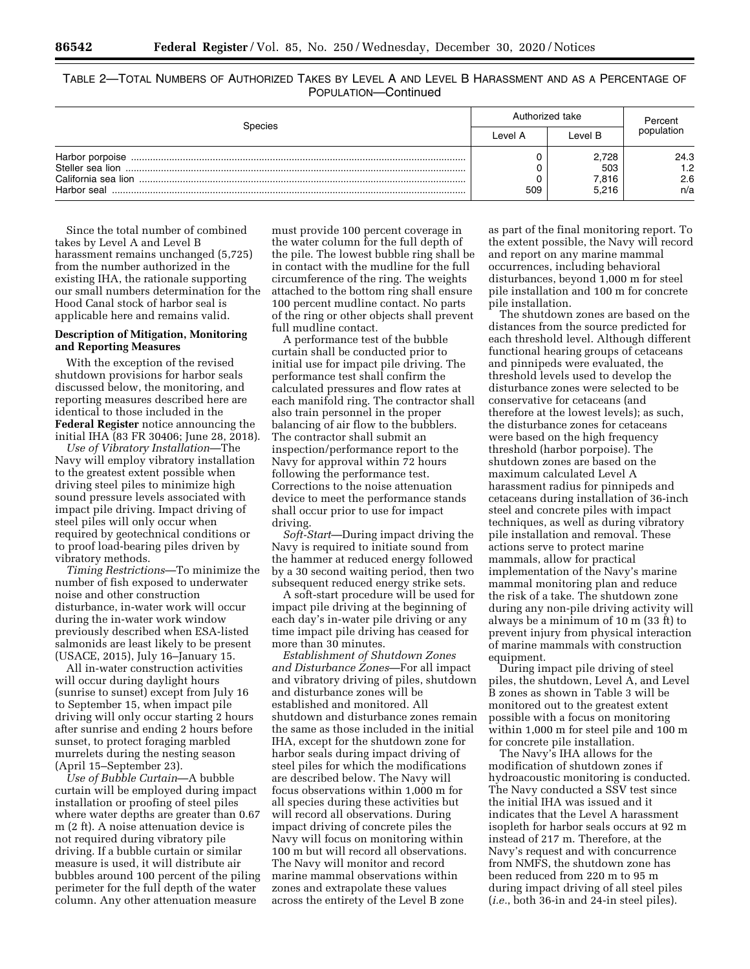TABLE 2—TOTAL NUMBERS OF AUTHORIZED TAKES BY LEVEL A AND LEVEL B HARASSMENT AND AS A PERCENTAGE OF POPULATION—Continued

| Species             | Authorized take |         | Percent    |  |
|---------------------|-----------------|---------|------------|--|
|                     | Level A         | Level B | population |  |
| Harbor porpoise     |                 | 2.728   | 24.3       |  |
|                     |                 | 503     | 1.2        |  |
| California sea lion |                 | 7,816   | 2.6        |  |
| Harbor seal         | 509             | 5.216   | n/a        |  |

Since the total number of combined takes by Level A and Level B harassment remains unchanged (5,725) from the number authorized in the existing IHA, the rationale supporting our small numbers determination for the Hood Canal stock of harbor seal is applicable here and remains valid.

# **Description of Mitigation, Monitoring and Reporting Measures**

With the exception of the revised shutdown provisions for harbor seals discussed below, the monitoring, and reporting measures described here are identical to those included in the **Federal Register** notice announcing the initial IHA (83 FR 30406; June 28, 2018).

*Use of Vibratory Installation*—The Navy will employ vibratory installation to the greatest extent possible when driving steel piles to minimize high sound pressure levels associated with impact pile driving. Impact driving of steel piles will only occur when required by geotechnical conditions or to proof load-bearing piles driven by vibratory methods.

*Timing Restrictions*—To minimize the number of fish exposed to underwater noise and other construction disturbance, in-water work will occur during the in-water work window previously described when ESA-listed salmonids are least likely to be present (USACE, 2015), July 16–January 15.

All in-water construction activities will occur during daylight hours (sunrise to sunset) except from July 16 to September 15, when impact pile driving will only occur starting 2 hours after sunrise and ending 2 hours before sunset, to protect foraging marbled murrelets during the nesting season (April 15–September 23).

*Use of Bubble Curtain*—A bubble curtain will be employed during impact installation or proofing of steel piles where water depths are greater than 0.67 m (2 ft). A noise attenuation device is not required during vibratory pile driving. If a bubble curtain or similar measure is used, it will distribute air bubbles around 100 percent of the piling perimeter for the full depth of the water column. Any other attenuation measure

must provide 100 percent coverage in the water column for the full depth of the pile. The lowest bubble ring shall be in contact with the mudline for the full circumference of the ring. The weights attached to the bottom ring shall ensure 100 percent mudline contact. No parts of the ring or other objects shall prevent full mudline contact.

A performance test of the bubble curtain shall be conducted prior to initial use for impact pile driving. The performance test shall confirm the calculated pressures and flow rates at each manifold ring. The contractor shall also train personnel in the proper balancing of air flow to the bubblers. The contractor shall submit an inspection/performance report to the Navy for approval within 72 hours following the performance test. Corrections to the noise attenuation device to meet the performance stands shall occur prior to use for impact driving.

*Soft-Start*—During impact driving the Navy is required to initiate sound from the hammer at reduced energy followed by a 30 second waiting period, then two subsequent reduced energy strike sets.

A soft-start procedure will be used for impact pile driving at the beginning of each day's in-water pile driving or any time impact pile driving has ceased for more than 30 minutes.

*Establishment of Shutdown Zones and Disturbance Zones*—For all impact and vibratory driving of piles, shutdown and disturbance zones will be established and monitored. All shutdown and disturbance zones remain the same as those included in the initial IHA, except for the shutdown zone for harbor seals during impact driving of steel piles for which the modifications are described below. The Navy will focus observations within 1,000 m for all species during these activities but will record all observations. During impact driving of concrete piles the Navy will focus on monitoring within 100 m but will record all observations. The Navy will monitor and record marine mammal observations within zones and extrapolate these values across the entirety of the Level B zone

as part of the final monitoring report. To the extent possible, the Navy will record and report on any marine mammal occurrences, including behavioral disturbances, beyond 1,000 m for steel pile installation and 100 m for concrete pile installation.

The shutdown zones are based on the distances from the source predicted for each threshold level. Although different functional hearing groups of cetaceans and pinnipeds were evaluated, the threshold levels used to develop the disturbance zones were selected to be conservative for cetaceans (and therefore at the lowest levels); as such, the disturbance zones for cetaceans were based on the high frequency threshold (harbor porpoise). The shutdown zones are based on the maximum calculated Level A harassment radius for pinnipeds and cetaceans during installation of 36-inch steel and concrete piles with impact techniques, as well as during vibratory pile installation and removal. These actions serve to protect marine mammals, allow for practical implementation of the Navy's marine mammal monitoring plan and reduce the risk of a take. The shutdown zone during any non-pile driving activity will always be a minimum of 10 m (33 ft) to prevent injury from physical interaction of marine mammals with construction equipment.

During impact pile driving of steel piles, the shutdown, Level A, and Level B zones as shown in Table 3 will be monitored out to the greatest extent possible with a focus on monitoring within 1,000 m for steel pile and 100 m for concrete pile installation.

The Navy's IHA allows for the modification of shutdown zones if hydroacoustic monitoring is conducted. The Navy conducted a SSV test since the initial IHA was issued and it indicates that the Level A harassment isopleth for harbor seals occurs at 92 m instead of 217 m. Therefore, at the Navy's request and with concurrence from NMFS, the shutdown zone has been reduced from 220 m to 95 m during impact driving of all steel piles (*i.e.*, both 36-in and 24-in steel piles).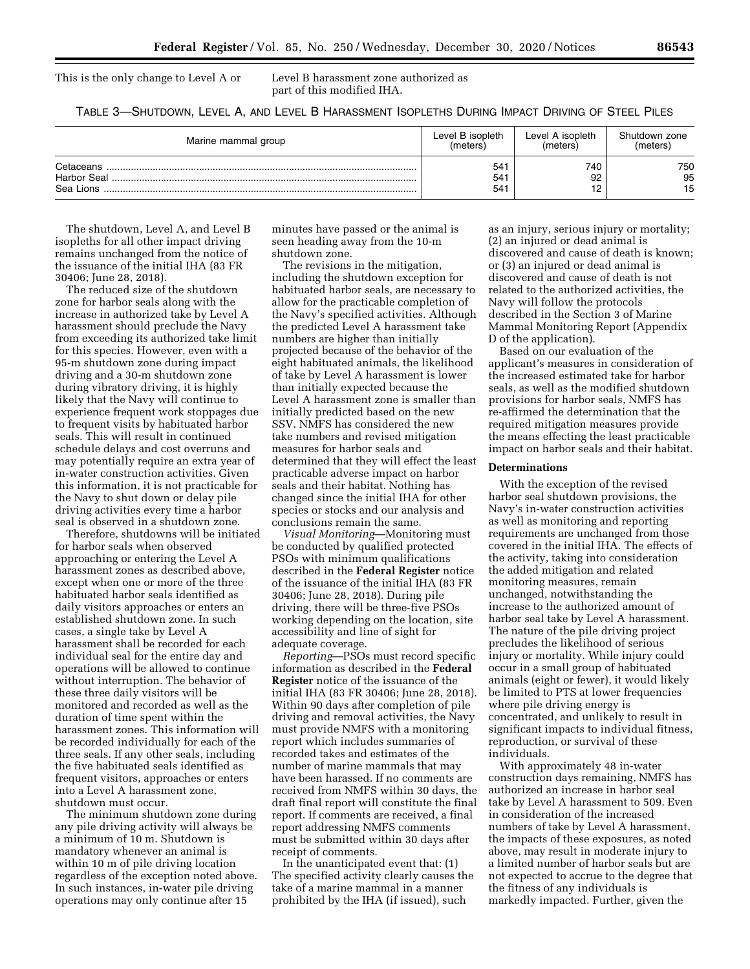This is the only change to Level A or Level B harassment zone authorized as part of this modified IHA.

TABLE 3—SHUTDOWN, LEVEL A, AND LEVEL B HARASSMENT ISOPLETHS DURING IMPACT DRIVING OF STEEL PILES

| Marine mammal group    | Level B isopleth                          | Level A isopleth | Shutdown zone   |
|------------------------|-------------------------------------------|------------------|-----------------|
|                        | (meters)                                  | (meters)         | (meters)        |
| Cetaceans<br>Sea Lions | 54 <sup>°</sup><br>541<br>54 <sup>2</sup> | 740<br>92        | 750<br>95<br>15 |

The shutdown, Level A, and Level B isopleths for all other impact driving remains unchanged from the notice of the issuance of the initial IHA (83 FR 30406; June 28, 2018).

The reduced size of the shutdown zone for harbor seals along with the increase in authorized take by Level A harassment should preclude the Navy from exceeding its authorized take limit for this species. However, even with a 95-m shutdown zone during impact driving and a 30-m shutdown zone during vibratory driving, it is highly likely that the Navy will continue to experience frequent work stoppages due to frequent visits by habituated harbor seals. This will result in continued schedule delays and cost overruns and may potentially require an extra year of in-water construction activities. Given this information, it is not practicable for the Navy to shut down or delay pile driving activities every time a harbor seal is observed in a shutdown zone.

Therefore, shutdowns will be initiated for harbor seals when observed approaching or entering the Level A harassment zones as described above, except when one or more of the three habituated harbor seals identified as daily visitors approaches or enters an established shutdown zone. In such cases, a single take by Level A harassment shall be recorded for each individual seal for the entire day and operations will be allowed to continue without interruption. The behavior of these three daily visitors will be monitored and recorded as well as the duration of time spent within the harassment zones. This information will be recorded individually for each of the three seals. If any other seals, including the five habituated seals identified as frequent visitors, approaches or enters into a Level A harassment zone, shutdown must occur.

The minimum shutdown zone during any pile driving activity will always be a minimum of 10 m. Shutdown is mandatory whenever an animal is within 10 m of pile driving location regardless of the exception noted above. In such instances, in-water pile driving operations may only continue after 15

minutes have passed or the animal is seen heading away from the 10-m shutdown zone.

The revisions in the mitigation, including the shutdown exception for habituated harbor seals, are necessary to allow for the practicable completion of the Navy's specified activities. Although the predicted Level A harassment take numbers are higher than initially projected because of the behavior of the eight habituated animals, the likelihood of take by Level A harassment is lower than initially expected because the Level A harassment zone is smaller than initially predicted based on the new SSV. NMFS has considered the new take numbers and revised mitigation measures for harbor seals and determined that they will effect the least practicable adverse impact on harbor seals and their habitat. Nothing has changed since the initial IHA for other species or stocks and our analysis and conclusions remain the same.

*Visual Monitoring*—Monitoring must be conducted by qualified protected PSOs with minimum qualifications described in the **Federal Register** notice of the issuance of the initial IHA (83 FR 30406; June 28, 2018). During pile driving, there will be three-five PSOs working depending on the location, site accessibility and line of sight for adequate coverage.

*Reporting*—PSOs must record specific information as described in the **Federal Register** notice of the issuance of the initial IHA (83 FR 30406; June 28, 2018). Within 90 days after completion of pile driving and removal activities, the Navy must provide NMFS with a monitoring report which includes summaries of recorded takes and estimates of the number of marine mammals that may have been harassed. If no comments are received from NMFS within 30 days, the draft final report will constitute the final report. If comments are received, a final report addressing NMFS comments must be submitted within 30 days after receipt of comments.

In the unanticipated event that: (1) The specified activity clearly causes the take of a marine mammal in a manner prohibited by the IHA (if issued), such

as an injury, serious injury or mortality; (2) an injured or dead animal is discovered and cause of death is known; or (3) an injured or dead animal is discovered and cause of death is not related to the authorized activities, the Navy will follow the protocols described in the Section 3 of Marine Mammal Monitoring Report (Appendix D of the application).

Based on our evaluation of the applicant's measures in consideration of the increased estimated take for harbor seals, as well as the modified shutdown provisions for harbor seals, NMFS has re-affirmed the determination that the required mitigation measures provide the means effecting the least practicable impact on harbor seals and their habitat.

#### **Determinations**

With the exception of the revised harbor seal shutdown provisions, the Navy's in-water construction activities as well as monitoring and reporting requirements are unchanged from those covered in the initial IHA. The effects of the activity, taking into consideration the added mitigation and related monitoring measures, remain unchanged, notwithstanding the increase to the authorized amount of harbor seal take by Level A harassment. The nature of the pile driving project precludes the likelihood of serious injury or mortality. While injury could occur in a small group of habituated animals (eight or fewer), it would likely be limited to PTS at lower frequencies where pile driving energy is concentrated, and unlikely to result in significant impacts to individual fitness, reproduction, or survival of these individuals.

With approximately 48 in-water construction days remaining, NMFS has authorized an increase in harbor seal take by Level A harassment to 509. Even in consideration of the increased numbers of take by Level A harassment, the impacts of these exposures, as noted above, may result in moderate injury to a limited number of harbor seals but are not expected to accrue to the degree that the fitness of any individuals is markedly impacted. Further, given the